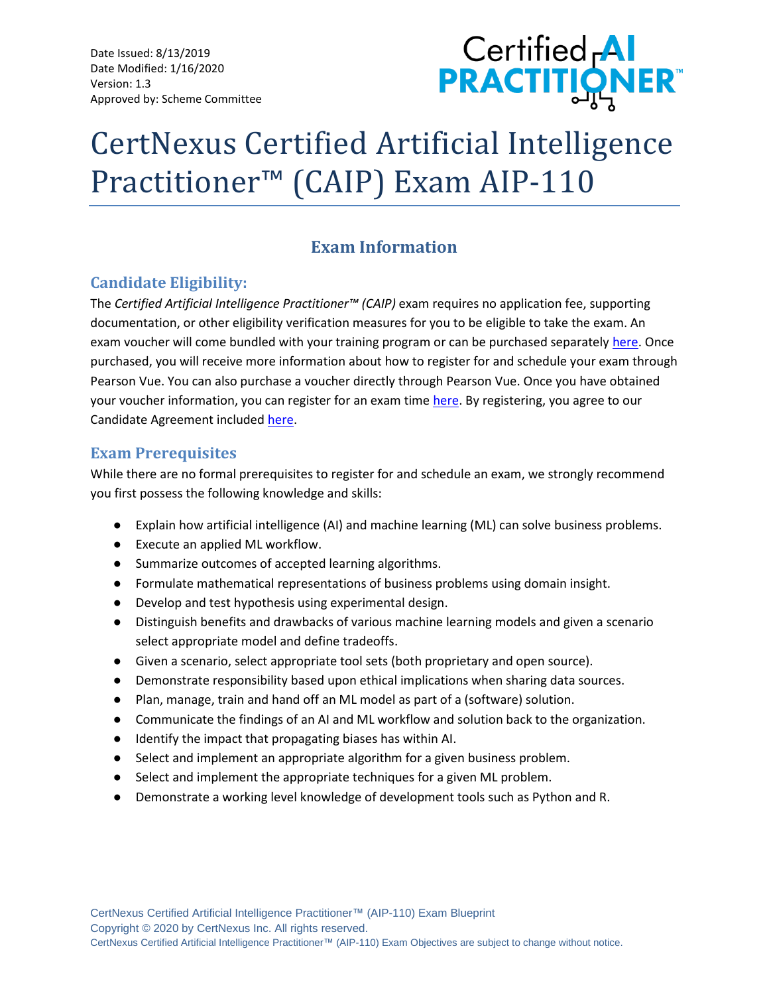Date Issued: 8/13/2019 Date Modified: 1/16/2020 Version: 1.3 Approved by: Scheme Committee



# CertNexus Certified Artificial Intelligence Practitioner™ (CAIP) Exam AIP-110

## **Exam Information**

## **Candidate Eligibility:**

The *Certified Artificial Intelligence Practitioner™ (CAIP)* exam requires no application fee, supporting documentation, or other eligibility verification measures for you to be eligible to take the exam. An exam voucher will come bundled with your training program or can be purchased separatel[y here.](https://store.certnexus.com/) Once purchased, you will receive more information about how to register for and schedule your exam through Pearson Vue. You can also purchase a voucher directly through Pearson Vue. Once you have obtained your voucher information, you can register for an exam time [here.](https://home.pearsonvue.com/certnexus) By registering, you agree to our Candidate Agreement included [here.](https://certnexus.com/wp-content/uploads/2018/06/CertNexus-Candidate-Handbook.pdf)

## **Exam Prerequisites**

While there are no formal prerequisites to register for and schedule an exam, we strongly recommend you first possess the following knowledge and skills:

- Explain how artificial intelligence (AI) and machine learning (ML) can solve business problems.
- Execute an applied ML workflow.
- Summarize outcomes of accepted learning algorithms.
- Formulate mathematical representations of business problems using domain insight.
- Develop and test hypothesis using experimental design.
- Distinguish benefits and drawbacks of various machine learning models and given a scenario select appropriate model and define tradeoffs.
- Given a scenario, select appropriate tool sets (both proprietary and open source).
- Demonstrate responsibility based upon ethical implications when sharing data sources.
- Plan, manage, train and hand off an ML model as part of a (software) solution.
- Communicate the findings of an AI and ML workflow and solution back to the organization.
- Identify the impact that propagating biases has within AI.
- Select and implement an appropriate algorithm for a given business problem.
- Select and implement the appropriate techniques for a given ML problem.
- Demonstrate a working level knowledge of development tools such as Python and R.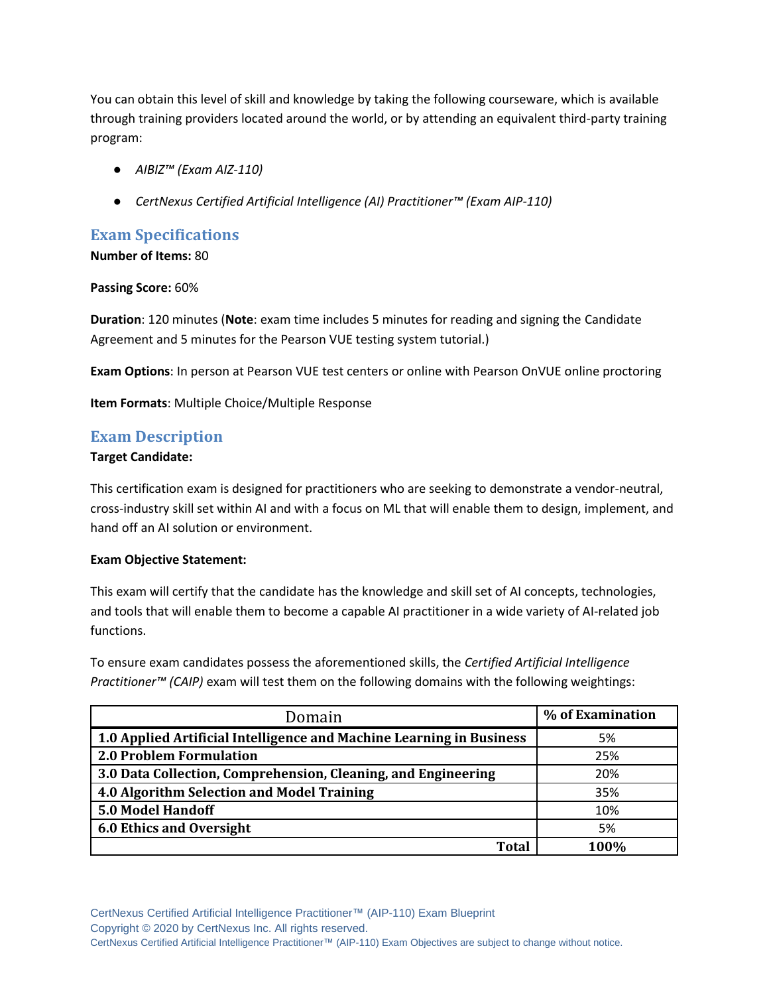You can obtain this level of skill and knowledge by taking the following courseware, which is available through training providers located around the world, or by attending an equivalent third-party training program:

- *AIBIZ™ (Exam AIZ-110)*
- *CertNexus Certified Artificial Intelligence (AI) Practitioner™ (Exam AIP-110)*

## **Exam Specifications**

**Number of Items:** 80

**Passing Score:** 60%

**Duration**: 120 minutes (**Note**: exam time includes 5 minutes for reading and signing the Candidate Agreement and 5 minutes for the Pearson VUE testing system tutorial.)

**Exam Options**: In person at Pearson VUE test centers or online with Pearson OnVUE online proctoring

**Item Formats**: Multiple Choice/Multiple Response

## **Exam Description**

#### **Target Candidate:**

This certification exam is designed for practitioners who are seeking to demonstrate a vendor-neutral, cross-industry skill set within AI and with a focus on ML that will enable them to design, implement, and hand off an AI solution or environment.

#### **Exam Objective Statement:**

This exam will certify that the candidate has the knowledge and skill set of AI concepts, technologies, and tools that will enable them to become a capable AI practitioner in a wide variety of AI-related job functions.

To ensure exam candidates possess the aforementioned skills, the *Certified Artificial Intelligence Practitioner™ (CAIP)* exam will test them on the following domains with the following weightings:

| Domain                                                               | % of Examination |
|----------------------------------------------------------------------|------------------|
| 1.0 Applied Artificial Intelligence and Machine Learning in Business | 5%               |
| <b>2.0 Problem Formulation</b>                                       | 25%              |
| 3.0 Data Collection, Comprehension, Cleaning, and Engineering        | 20%              |
| 4.0 Algorithm Selection and Model Training                           | 35%              |
| <b>5.0 Model Handoff</b>                                             | 10%              |
| 6.0 Ethics and Oversight                                             | 5%               |
| Total                                                                | 100%             |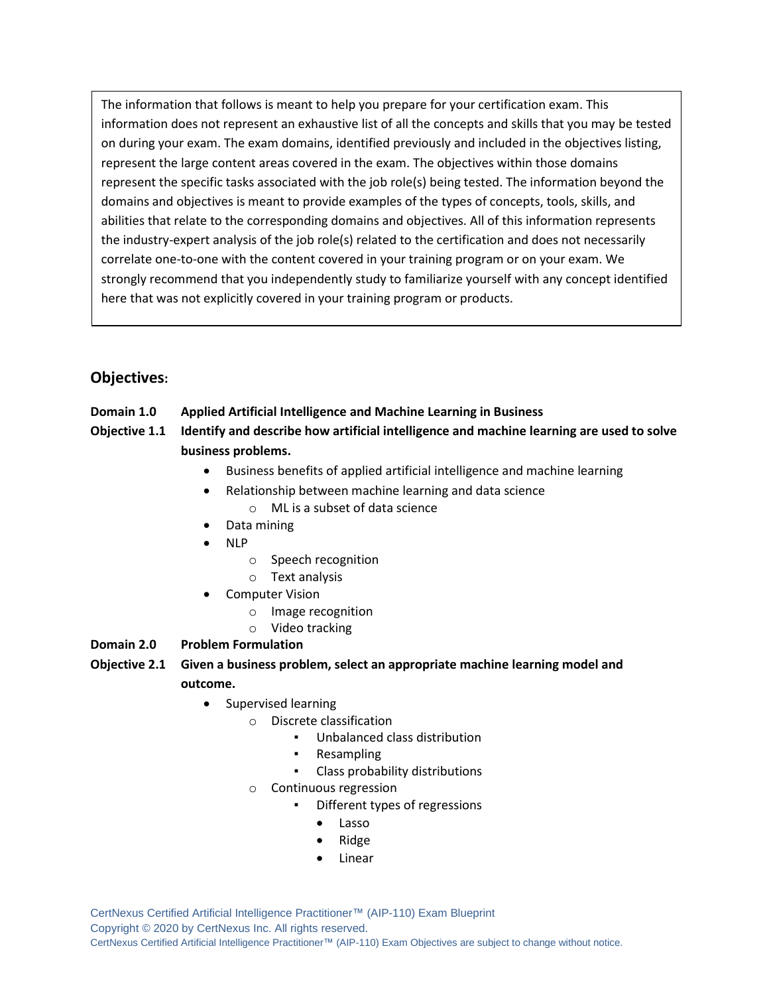The information that follows is meant to help you prepare for your certification exam. This information does not represent an exhaustive list of all the concepts and skills that you may be tested on during your exam. The exam domains, identified previously and included in the objectives listing, represent the large content areas covered in the exam. The objectives within those domains represent the specific tasks associated with the job role(s) being tested. The information beyond the domains and objectives is meant to provide examples of the types of concepts, tools, skills, and abilities that relate to the corresponding domains and objectives. All of this information represents the industry-expert analysis of the job role(s) related to the certification and does not necessarily correlate one-to-one with the content covered in your training program or on your exam. We strongly recommend that you independently study to familiarize yourself with any concept identified here that was not explicitly covered in your training program or products.

## **Objectives:**

#### **Domain 1.0 Applied Artificial Intelligence and Machine Learning in Business**

- **Objective 1.1 Identify and describe how artificial intelligence and machine learning are used to solve business problems.**
	- Business benefits of applied artificial intelligence and machine learning
	- Relationship between machine learning and data science
		- o ML is a subset of data science
	- Data mining
	- NLP
		- o Speech recognition
		- o Text analysis
	- Computer Vision
		- o Image recognition
		- o Video tracking
- **Domain 2.0 Problem Formulation**
- **Objective 2.1 Given a business problem, select an appropriate machine learning model and outcome.**
	- Supervised learning
		- o Discrete classification
			- Unbalanced class distribution
			- **Resampling**
			- Class probability distributions
		- o Continuous regression
			- Different types of regressions
				- Lasso
				- Ridge
				- **Linear**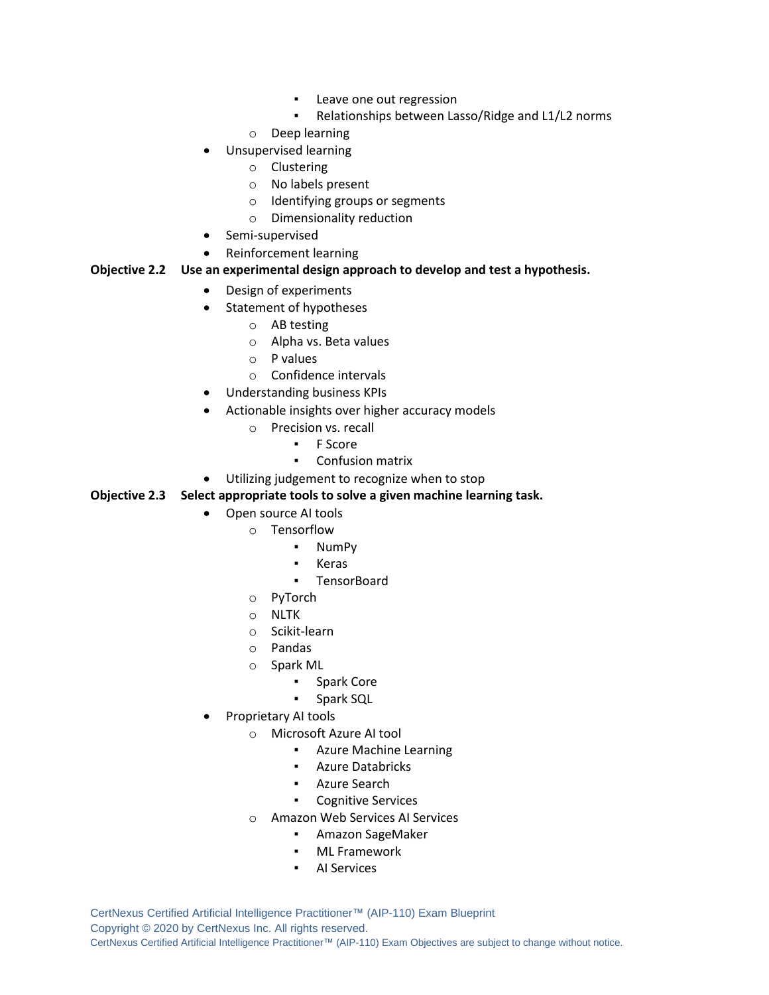- Leave one out regression
- Relationships between Lasso/Ridge and L1/L2 norms
- o Deep learning
- Unsupervised learning
	- o Clustering
	- o No labels present
	- o Identifying groups or segments
	- o Dimensionality reduction
- Semi-supervised
- Reinforcement learning

#### **Objective 2.2 Use an experimental design approach to develop and test a hypothesis.**

- Design of experiments
- Statement of hypotheses
	- o AB testing
	- o Alpha vs. Beta values
	- o P values
	- o Confidence intervals
- Understanding business KPIs
- Actionable insights over higher accuracy models
	- o Precision vs. recall
		- F Score
		- Confusion matrix
- Utilizing judgement to recognize when to stop

#### **Objective 2.3 Select appropriate tools to solve a given machine learning task.**

- Open source AI tools
	- o Tensorflow
		- NumPy
		- **Keras**
		- TensorBoard
	- o PyTorch
	- o NLTK
	- o Scikit-learn
	- o Pandas
	- o Spark ML
		- Spark Core
		- Spark SQL
- Proprietary AI tools
	- o Microsoft Azure AI tool
		- Azure Machine Learning
		- Azure Databricks
		- Azure Search
		- Cognitive Services
	- o Amazon Web Services AI Services
		- Amazon SageMaker
		- ML Framework
		- AI Services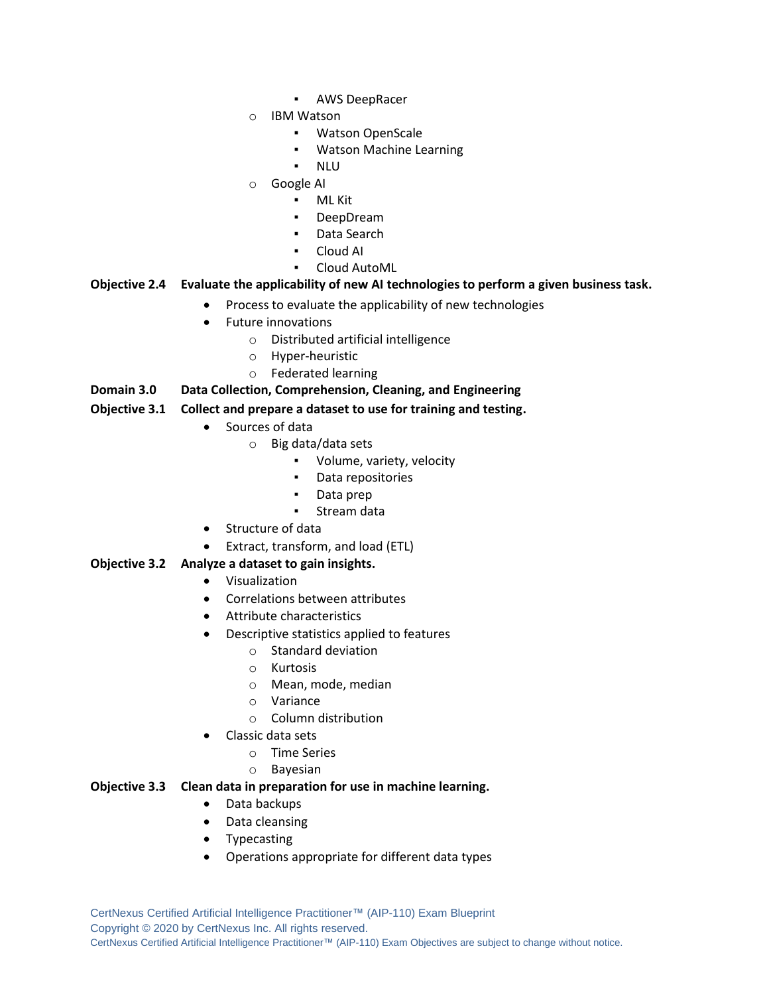- AWS DeepRacer
- o IBM Watson
	- **Watson OpenScale**
	- Watson Machine Learning
	- **NLU**
- o Google AI
	- ML Kit
	- DeepDream
	- Data Search
	- Cloud AI
	- Cloud AutoML

#### **Objective 2.4 Evaluate the applicability of new AI technologies to perform a given business task.**

- Process to evaluate the applicability of new technologies
- Future innovations
	- o Distributed artificial intelligence
	- o Hyper-heuristic
	- o Federated learning
- **Domain 3.0 Data Collection, Comprehension, Cleaning, and Engineering**

#### **Objective 3.1 Collect and prepare a dataset to use for training and testing.**

- Sources of data
	- o Big data/data sets
		- Volume, variety, velocity
		- Data repositories
		- Data prep
		- Stream data
- Structure of data
- Extract, transform, and load (ETL)

#### **Objective 3.2 Analyze a dataset to gain insights.**

- Visualization
- Correlations between attributes
- Attribute characteristics
- Descriptive statistics applied to features
	- o Standard deviation
	- o Kurtosis
	- o Mean, mode, median
	- o Variance
	- o Column distribution
- Classic data sets
	- o Time Series
	- o Bayesian

#### **Objective 3.3 Clean data in preparation for use in machine learning.**

- Data backups
- Data cleansing
- **Typecasting**
- Operations appropriate for different data types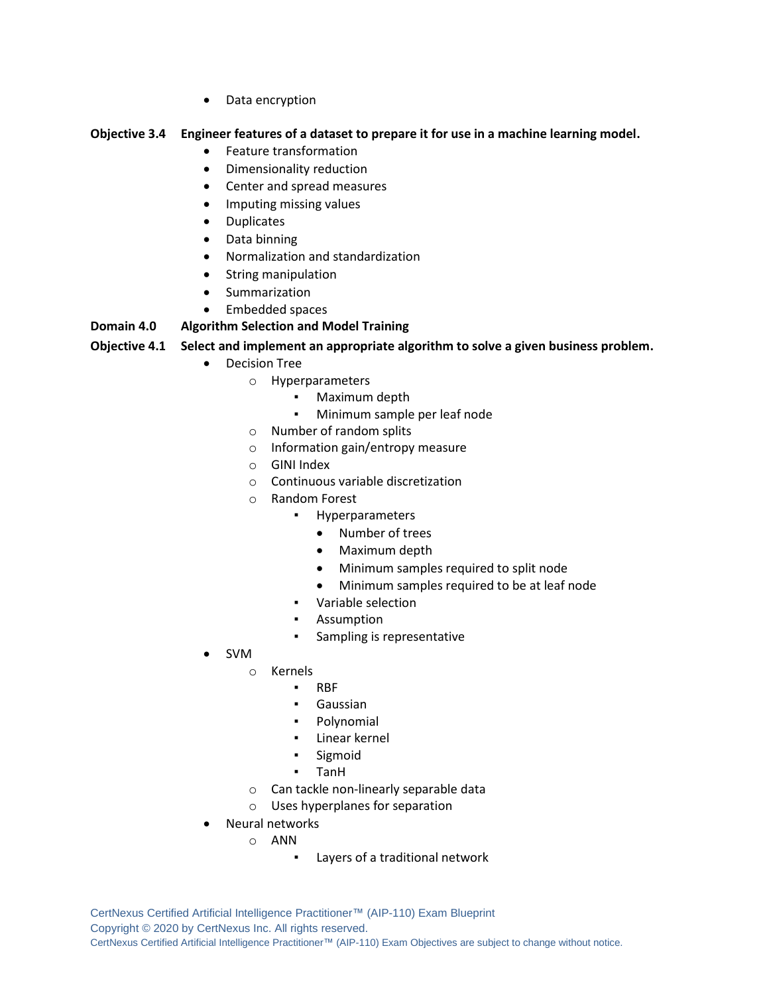• Data encryption

#### **Objective 3.4 Engineer features of a dataset to prepare it for use in a machine learning model.**

- Feature transformation
- Dimensionality reduction
- Center and spread measures
- Imputing missing values
- Duplicates
- Data binning
- Normalization and standardization
- String manipulation
- Summarization
- Embedded spaces

#### **Domain 4.0 Algorithm Selection and Model Training**

#### **Objective 4.1 Select and implement an appropriate algorithm to solve a given business problem.**

- Decision Tree
	- o Hyperparameters
		- Maximum depth
		- Minimum sample per leaf node
	- o Number of random splits
	- o Information gain/entropy measure
	- o GINI Index
	- o Continuous variable discretization
	- o Random Forest
		- Hyperparameters
			- Number of trees
			- Maximum depth
			- Minimum samples required to split node
			- Minimum samples required to be at leaf node
		- Variable selection
		- Assumption
		- Sampling is representative
- SVM
	- o Kernels
		- RBF
		- Gaussian
		- **Polynomial**
		- Linear kernel
		- Sigmoid
		- TanH
	- o Can tackle non-linearly separable data
	- o Uses hyperplanes for separation
- Neural networks
	- o ANN
		- Layers of a traditional network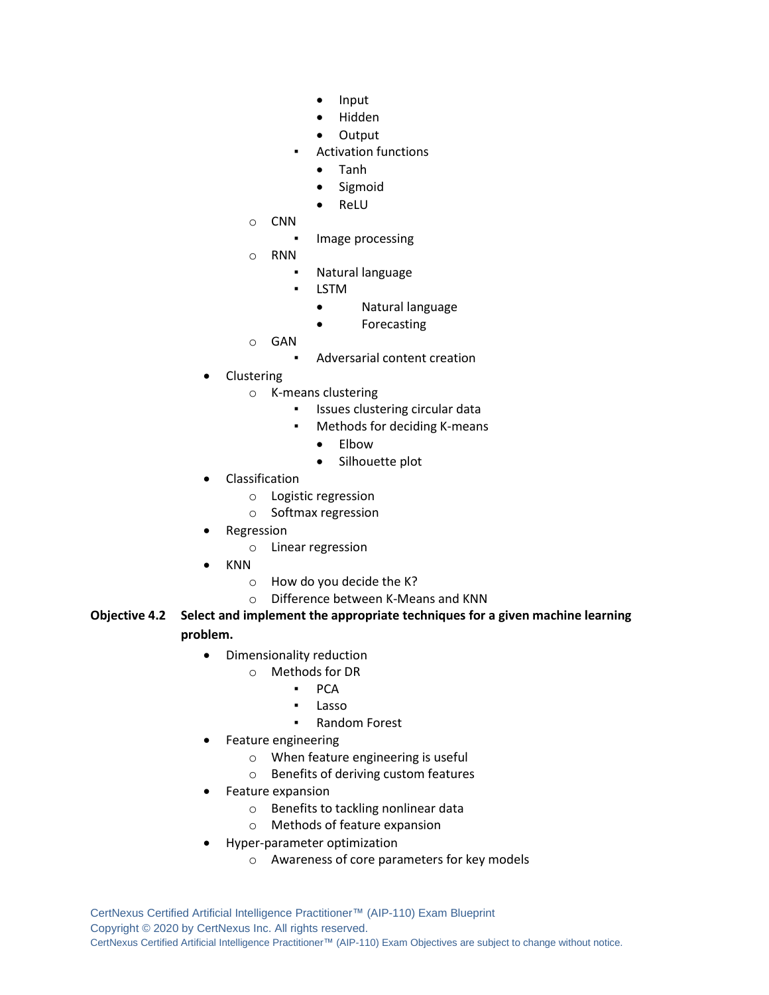- Input
- Hidden
- Output
- **Activation functions** 
	- Tanh
	- Sigmoid
	- ReLU
- o CNN
	- Image processing
- o RNN
	- Natural language
	- **LSTM** 
		- Natural language
		- Forecasting
- o GAN
	- Adversarial content creation
- **Clustering** 
	- o K-means clustering
		- Issues clustering circular data
		- Methods for deciding K-means
			- Elbow
			- Silhouette plot
- **Classification** 
	- o Logistic regression
	- o Softmax regression
- **Regression** 
	- o Linear regression
- KNN
	- o How do you decide the K?
	- o Difference between K-Means and KNN

#### **Objective 4.2 Select and implement the appropriate techniques for a given machine learning problem.**

- Dimensionality reduction
	- o Methods for DR
		- PCA
		- Lasso
		- **Random Forest**
- Feature engineering
	- o When feature engineering is useful
	- o Benefits of deriving custom features
- Feature expansion
	- o Benefits to tackling nonlinear data
	- o Methods of feature expansion
- Hyper-parameter optimization
	- o Awareness of core parameters for key models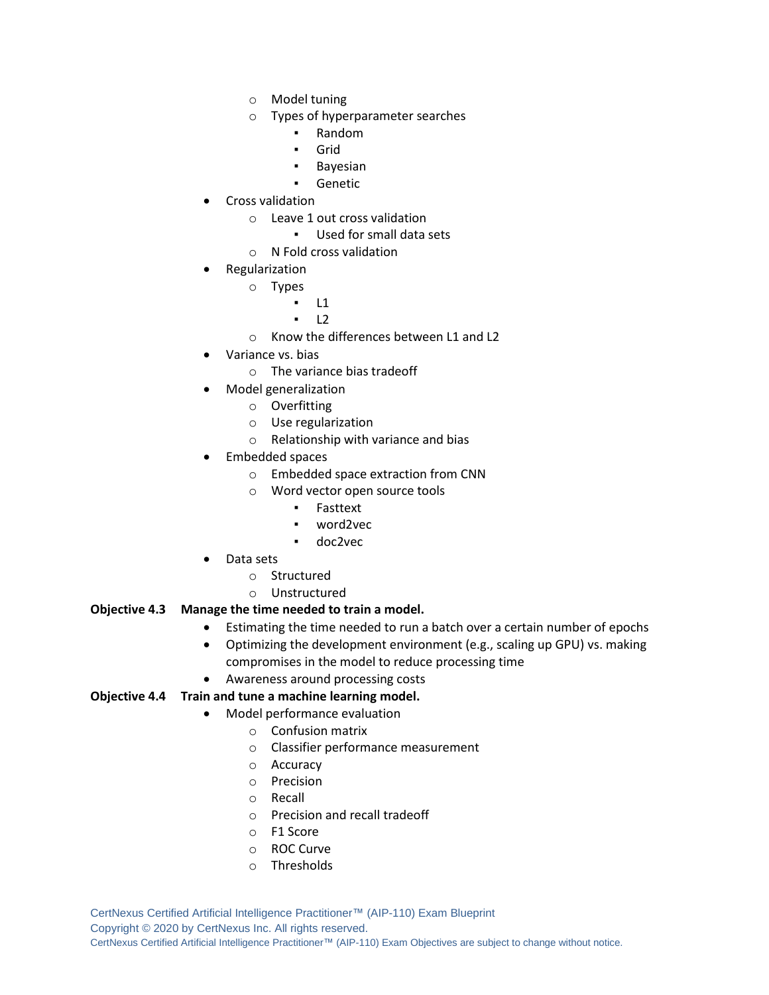- o Model tuning
- o Types of hyperparameter searches
	- **Random**
	- Grid
	- **Bayesian**
	- **Genetic**
- Cross validation
	- o Leave 1 out cross validation
		- Used for small data sets
	- o N Fold cross validation
- **Regularization** 
	- o Types
		- $L1$
		- $L2$
	- o Know the differences between L1 and L2
- Variance vs. bias
	- o The variance bias tradeoff
- Model generalization
	- o Overfitting
	- o Use regularization
	- o Relationship with variance and bias
- Embedded spaces
	- o Embedded space extraction from CNN
	- o Word vector open source tools
		- Fasttext
		- word2vec
		- doc2vec
- Data sets
	- o Structured
	- o Unstructured

#### **Objective 4.3 Manage the time needed to train a model.**

- Estimating the time needed to run a batch over a certain number of epochs
- Optimizing the development environment (e.g., scaling up GPU) vs. making compromises in the model to reduce processing time
- Awareness around processing costs

#### **Objective 4.4 Train and tune a machine learning model.**

- Model performance evaluation
	- o Confusion matrix
	- o Classifier performance measurement
	- o Accuracy
	- o Precision
	- o Recall
	- o Precision and recall tradeoff
	- o F1 Score
	- o ROC Curve
	- o Thresholds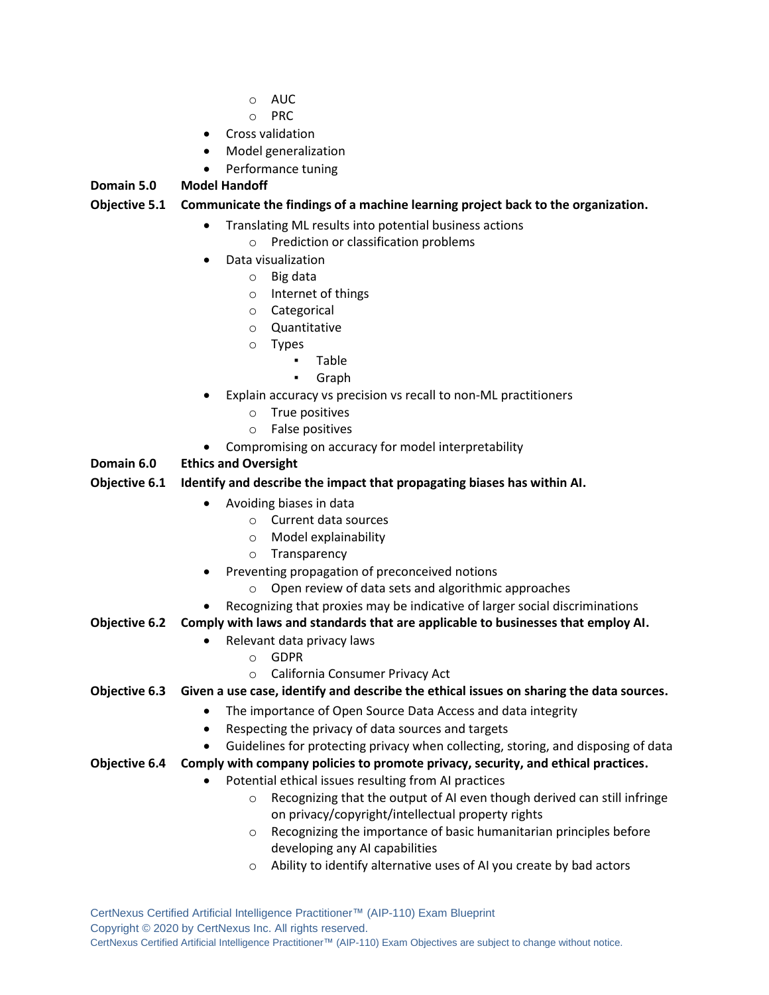- o AUC
- o PRC
- Cross validation
- Model generalization
- Performance tuning

#### **Domain 5.0 Model Handoff**

#### **Objective 5.1 Communicate the findings of a machine learning project back to the organization.**

- Translating ML results into potential business actions
- o Prediction or classification problems
- Data visualization
	- o Big data
	- o Internet of things
	- o Categorical
	- o Quantitative
	- o Types
		- Table
		- Graph
- Explain accuracy vs precision vs recall to non-ML practitioners
	- o True positives
	- o False positives
- Compromising on accuracy for model interpretability

#### **Domain 6.0 Ethics and Oversight**

#### **Objective 6.1 Identify and describe the impact that propagating biases has within AI.**

- Avoiding biases in data
	- o Current data sources
	- o Model explainability
	- o Transparency
- Preventing propagation of preconceived notions
	- o Open review of data sets and algorithmic approaches
- Recognizing that proxies may be indicative of larger social discriminations
- **Objective 6.2 Comply with laws and standards that are applicable to businesses that employ AI.**
	- Relevant data privacy laws
		- o GDPR
			- o California Consumer Privacy Act
- **Objective 6.3 Given a use case, identify and describe the ethical issues on sharing the data sources.**
	- The importance of Open Source Data Access and data integrity
	- Respecting the privacy of data sources and targets
	- Guidelines for protecting privacy when collecting, storing, and disposing of data
- **Objective 6.4 Comply with company policies to promote privacy, security, and ethical practices.**
	- Potential ethical issues resulting from AI practices
		- o Recognizing that the output of AI even though derived can still infringe on privacy/copyright/intellectual property rights
		- o Recognizing the importance of basic humanitarian principles before developing any AI capabilities
		- o Ability to identify alternative uses of AI you create by bad actors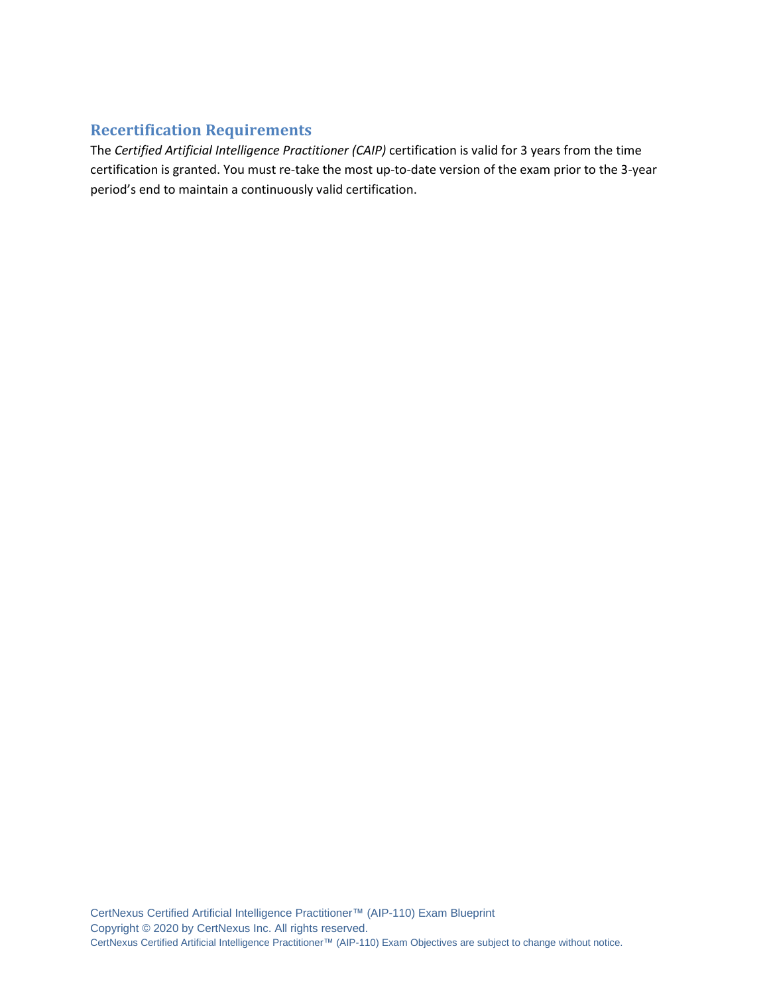## **Recertification Requirements**

The *Certified Artificial Intelligence Practitioner (CAIP)* certification is valid for 3 years from the time certification is granted. You must re-take the most up-to-date version of the exam prior to the 3-year period's end to maintain a continuously valid certification.